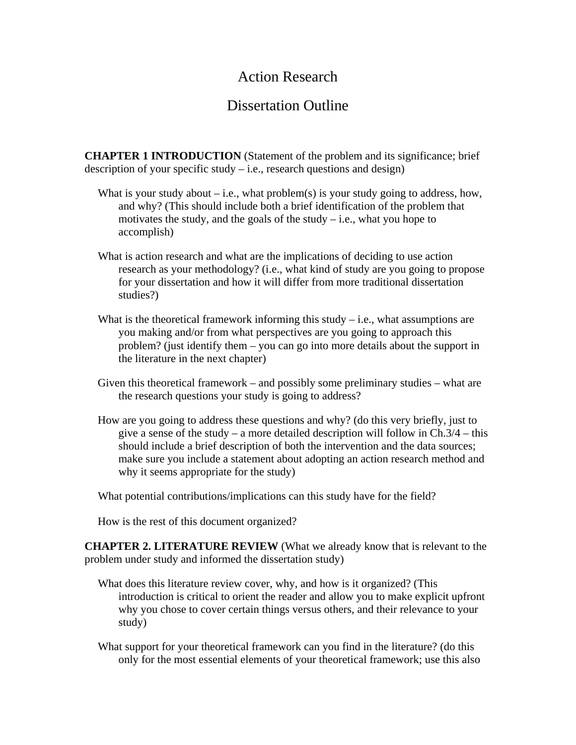## Action Research

# Dissertation Outline

**CHAPTER 1 INTRODUCTION** (Statement of the problem and its significance; brief description of your specific study – i.e., research questions and design)

- What is your study about  $-i.e.,$  what problem(s) is your study going to address, how, and why? (This should include both a brief identification of the problem that motivates the study, and the goals of the study  $-$  i.e., what you hope to accomplish)
- What is action research and what are the implications of deciding to use action research as your methodology? (i.e., what kind of study are you going to propose for your dissertation and how it will differ from more traditional dissertation studies?)
- What is the theoretical framework informing this study  $-$  i.e., what assumptions are you making and/or from what perspectives are you going to approach this problem? (just identify them – you can go into more details about the support in the literature in the next chapter)
- Given this theoretical framework and possibly some preliminary studies what are the research questions your study is going to address?
- How are you going to address these questions and why? (do this very briefly, just to give a sense of the study – a more detailed description will follow in  $Ch.3/4 - this$ should include a brief description of both the intervention and the data sources; make sure you include a statement about adopting an action research method and why it seems appropriate for the study)

What potential contributions/implications can this study have for the field?

How is the rest of this document organized?

**CHAPTER 2. LITERATURE REVIEW** (What we already know that is relevant to the problem under study and informed the dissertation study)

- What does this literature review cover, why, and how is it organized? (This introduction is critical to orient the reader and allow you to make explicit upfront why you chose to cover certain things versus others, and their relevance to your study)
- What support for your theoretical framework can you find in the literature? (do this only for the most essential elements of your theoretical framework; use this also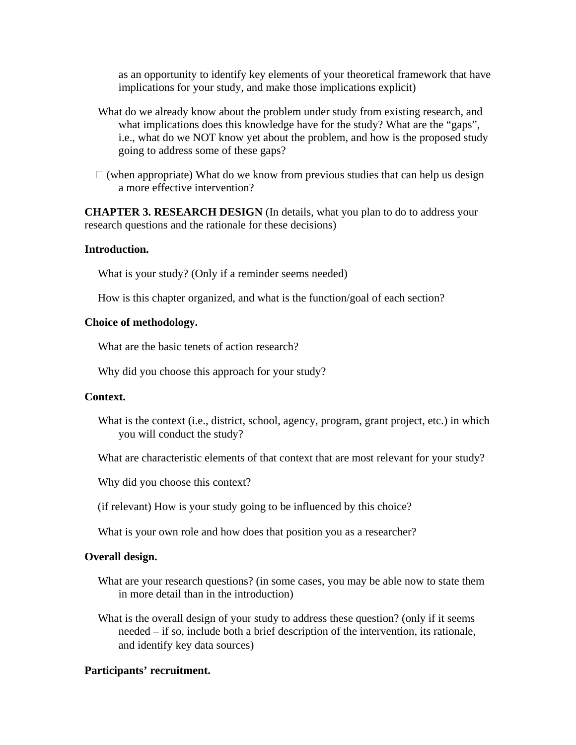as an opportunity to identify key elements of your theoretical framework that have implications for your study, and make those implications explicit)

- What do we already know about the problem under study from existing research, and what implications does this knowledge have for the study? What are the "gaps", i.e., what do we NOT know yet about the problem, and how is the proposed study going to address some of these gaps?
- $\Box$  (when appropriate) What do we know from previous studies that can help us design a more effective intervention?

**CHAPTER 3. RESEARCH DESIGN** (In details, what you plan to do to address your research questions and the rationale for these decisions)

### **Introduction.**

What is your study? (Only if a reminder seems needed)

How is this chapter organized, and what is the function/goal of each section?

#### **Choice of methodology.**

What are the basic tenets of action research?

Why did you choose this approach for your study?

#### **Context.**

- What is the context (i.e., district, school, agency, program, grant project, etc.) in which you will conduct the study?
- What are characteristic elements of that context that are most relevant for your study?

Why did you choose this context?

(if relevant) How is your study going to be influenced by this choice?

What is your own role and how does that position you as a researcher?

## **Overall design.**

- What are your research questions? (in some cases, you may be able now to state them in more detail than in the introduction)
- What is the overall design of your study to address these question? (only if it seems needed – if so, include both a brief description of the intervention, its rationale, and identify key data sources)

## **Participants' recruitment.**